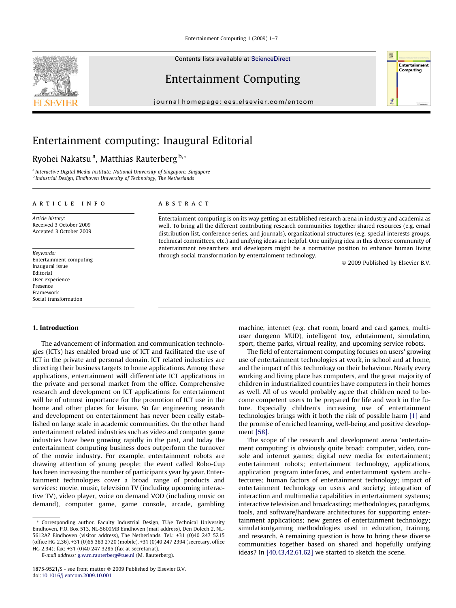Entertainment Computing 1 (2009) 1–7

Contents lists available at [ScienceDirect](http://www.sciencedirect.com/science/journal/18759521)

# Entertainment Computing

journal homepage: [ees.elsevier.com/entcom](http://ees.elsevier.com/entcom)

# Entertainment computing: Inaugural Editorial

# Ryohei Nakatsu<sup>a</sup>, Matthias Rauterberg <sup>b,</sup>\*

a Interactive Digital Media Institute, National University of Singapore, Singapore **b** Industrial Design, Eindhoven University of Technology, The Netherlands

# article info

Article history: Received 3 October 2009 Accepted 3 October 2009

Keywords: Entertainment computing Inaugural issue Editorial User experience Presence Framework Social transformation

# **ABSTRACT**

Entertainment computing is on its way getting an established research arena in industry and academia as well. To bring all the different contributing research communities together shared resources (e.g. email distribution list, conference series, and journals), organizational structures (e.g. special interests groups, technical committees, etc.) and unifying ideas are helpful. One unifying idea in this diverse community of entertainment researchers and developers might be a normative position to enhance human living through social transformation by entertainment technology.

© 2009 Published by Elsevier B.V.

Entertainmen \_\_\_\_\_\_\_\_\_\_\_\_\_\_\_\_<br>Computing

# 1. Introduction

The advancement of information and communication technologies (ICTs) has enabled broad use of ICT and facilitated the use of ICT in the private and personal domain. ICT related industries are directing their business targets to home applications. Among these applications, entertainment will differentiate ICT applications in the private and personal market from the office. Comprehensive research and development on ICT applications for entertainment will be of utmost importance for the promotion of ICT use in the home and other places for leisure. So far engineering research and development on entertainment has never been really established on large scale in academic communities. On the other hand entertainment related industries such as video and computer game industries have been growing rapidly in the past, and today the entertainment computing business does outperform the turnover of the movie industry. For example, entertainment robots are drawing attention of young people; the event called Robo-Cup has been increasing the number of participants year by year. Entertainment technologies cover a broad range of products and services: movie, music, television TV (including upcoming interactive TV), video player, voice on demand VOD (including music on demand), computer game, game console, arcade, gambling

machine, internet (e.g. chat room, board and card games, multiuser dungeon MUD), intelligent toy, edutainment, simulation, sport, theme parks, virtual reality, and upcoming service robots.

The field of entertainment computing focuses on users' growing use of entertainment technologies at work, in school and at home, and the impact of this technology on their behaviour. Nearly every working and living place has computers, and the great majority of children in industrialized countries have computers in their homes as well. All of us would probably agree that children need to become competent users to be prepared for life and work in the future. Especially children's increasing use of entertainment technologies brings with it both the risk of possible harm [\[1\]](#page-5-0) and the promise of enriched learning, well-being and positive development [\[58\]](#page-5-0).

The scope of the research and development arena 'entertainment computing' is obviously quite broad: computer, video, console and internet games; digital new media for entertainment; entertainment robots; entertainment technology, applications, application program interfaces, and entertainment system architectures; human factors of entertainment technology; impact of entertainment technology on users and society; integration of interaction and multimedia capabilities in entertainment systems; interactive television and broadcasting; methodologies, paradigms, tools, and software/hardware architectures for supporting entertainment applications; new genres of entertainment technology; simulation/gaming methodologies used in education, training, and research. A remaining question is how to bring these diverse communities together based on shared and hopefully unifying ideas? In [\[40,43,42,61,62\]](#page-5-0) we started to sketch the scene.



<sup>\*</sup> Corresponding author. Faculty Industrial Design, TU/e Technical University Eindhoven, P.O. Box 513, NL-5600MB Eindhoven (mail address), Den Dolech 2, NL-5612AZ Eindhoven (visitor address), The Netherlands. Tel.: +31 (0)40 247 5215 (office HG 2.36), +31 (0)65 383 2720 (mobile), +31 (0)40 247 2394 (secretary, office HG 2.34); fax: +31 (0)40 247 3285 (fax at secretariat).

E-mail address: [g.w.m.rauterberg@tue.nl](mailto:g.w.m.rauterberg@tue.nl) (M. Rauterberg).

<sup>1875-9521/\$ -</sup> see front matter © 2009 Published by Elsevier B.V. doi[:10.1016/j.entcom.2009.10.001](http://dx.doi.org/10.1016/j.entcom.2009.10.001)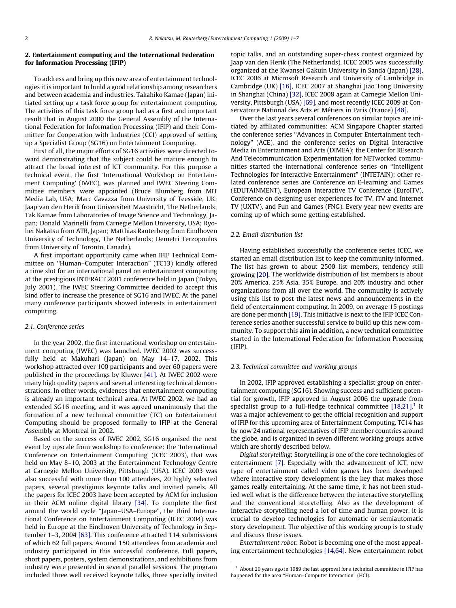# 2. Entertainment computing and the International Federation for Information Processing (IFIP)

To address and bring up this new area of entertainment technologies it is important to build a good relationship among researchers and between academia and industries. Takahiko Kamae (Japan) initiated setting up a task force group for entertainment computing. The activities of this task force group had as a first and important result that in August 2000 the General Assembly of the International Federation for Information Processing (IFIP) and their Committee for Cooperation with Industries (CCI) approved of setting up a Specialist Group (SG16) on Entertainment Computing.

First of all, the major efforts of SG16 activities were directed toward demonstrating that the subject could be mature enough to attract the broad interest of ICT community. For this purpose a technical event, the first 'International Workshop on Entertainment Computing' (IWEC), was planned and IWEC Steering Committee members were appointed (Bruce Blumberg from MIT Media Lab, USA; Marc Cavazza from University of Teesside, UK; Jaap van den Herik from Universiteit Maastricht, The Netherlands; Tak Kamae from Laboratories of Image Science and Technology, Japan; Donald Marinelli from Carnegie Mellon University, USA; Ryohei Nakatsu from ATR, Japan; Matthias Rauterberg from Eindhoven University of Technology, The Netherlands; Demetri Terzopoulos from University of Toronto, Canada).

A first important opportunity came when IFIP Technical Committee on ''Human–Computer Interaction" (TC13) kindly offered a time slot for an international panel on entertainment computing at the prestigious INTERACT 2001 conference held in Japan (Tokyo, July 2001). The IWEC Steering Committee decided to accept this kind offer to increase the presence of SG16 and IWEC. At the panel many conference participants showed interests in entertainment computing.

# 2.1. Conference series

In the year 2002, the first international workshop on entertainment computing (IWEC) was launched. IWEC 2002 was successfully held at Makuhari (Japan) on May 14–17, 2002. This workshop attracted over 100 participants and over 60 papers were published in the proceedings by Kluwer [\[41\].](#page-5-0) At IWEC 2002 were many high quality papers and several interesting technical demonstrations. In other words, evidences that entertainment computing is already an important technical area. At IWEC 2002, we had an extended SG16 meeting, and it was agreed unanimously that the formation of a new technical committee (TC) on Entertainment Computing should be proposed formally to IFIP at the General Assembly at Montreal in 2002.

Based on the success of IWEC 2002, SG16 organised the next event by upscale from workshop to conference: the 'International Conference on Entertainment Computing' (ICEC 2003), that was held on May 8-10, 2003 at the Entertainment Technology Centre at Carnegie Mellon University, Pittsburgh (USA). ICEC 2003 was also successful with more than 100 attendees, 20 highly selected papers, several prestigious keynote talks and invited panels. All the papers for ICEC 2003 have been accepted by ACM for inclusion in their ACM online digital library [\[34\].](#page-5-0) To complete the first around the world cycle ''Japan–USA–Europe", the third International Conference on Entertainment Computing (ICEC 2004) was held in Europe at the Eindhoven University of Technology in September 1–3, 2004 [\[63\].](#page-6-0) This conference attracted 114 submissions of which 62 full papers. Around 150 attendees from academia and industry participated in this successful conference. Full papers, short papers, posters, system demonstrations, and exhibitions from industry were presented in several parallel sessions. The program included three well received keynote talks, three specially invited

topic talks, and an outstanding super-chess contest organized by Jaap van den Herik (The Netherlands). ICEC 2005 was successfully organized at the Kwansei Gakuin University in Sanda (Japan) [\[28\],](#page-5-0) ICEC 2006 at Microsoft Research and University of Cambridge in Cambridge (UK) [\[16\]](#page-5-0), ICEC 2007 at Shanghai Jiao Tong University in Shanghai (China) [\[32\]](#page-5-0), ICEC 2008 again at Carnegie Mellon University, Pittsburgh (USA) [\[69\],](#page-6-0) and most recently ICEC 2009 at Conservatoire National des Arts et Métiers in Paris (France) [\[48\]](#page-5-0).

Over the last years several conferences on similar topics are initiated by affiliated communities: ACM Singapore Chapter started the conference series ''Advances in Computer Entertainment technology" (ACE), and the conference series on Digital Interactive Media in Entertainment and Arts (DIMEA); the Center for REsearch And Telecommunication Experimentation for NETworked communities started the international conference series on ''Intelligent Technologies for Interactive Entertainment" (INTETAIN); other related conference series are Conference on E-learning and Games (EDUTAINMENT), European Interactive TV Conference (EuroITV), Conference on designing user experiences for TV, iTV and Internet TV (UXTV), and Fun and Games (FNG). Every year new events are coming up of which some getting established.

# 2.2. Email distribution list

Having established successfully the conference series ICEC, we started an email distribution list to keep the community informed. The list has grown to about 2500 list members, tendency still growing [\[20\].](#page-5-0) The worldwide distribution of list members is about 20% America, 25% Asia, 35% Europe, and 20% industry and other organizations from all over the world. The community is actively using this list to post the latest news and announcements in the field of entertainment computing. In 2009, on average 15 postings are done per month [\[19\].](#page-5-0) This initiative is next to the IFIP ICEC Conference series another successful service to build up this new community. To support this aim in addition, a new technical committee started in the International Federation for Information Processing (IFIP).

### 2.3. Technical committee and working groups

In 2002, IFIP approved establishing a specialist group on entertainment computing (SG16). Showing success and sufficient potential for growth, IFIP approved in August 2006 the upgrade from specialist group to a full-fledge technical committee  $[18,21]$ .<sup>1</sup> It was a major achievement to get the official recognition and support of IFIP for this upcoming area of Entertainment Computing. TC14 has by now 24 national representatives of IFIP member countries around the globe, and is organized in seven different working groups active which are shortly described below.

Digital storytelling: Storytelling is one of the core technologies of entertainment [\[7\]](#page-5-0). Especially with the advancement of ICT, new type of entertainment called video games has been developed where interactive story development is the key that makes those games really entertaining. At the same time, it has not been studied well what is the difference between the interactive storytelling and the conventional storytelling. Also as the development of interactive storytelling need a lot of time and human power, it is crucial to develop technologies for automatic or semiautomatic story development. The objective of this working group is to study and discuss these issues.

Entertainment robot: Robot is becoming one of the most appealing entertainment technologies [\[14,64\].](#page-5-0) New entertainment robot

 $1$  About 20 years ago in 1989 the last approval for a technical committee in IFIP has happened for the area ''Human–Computer Interaction" (HCI).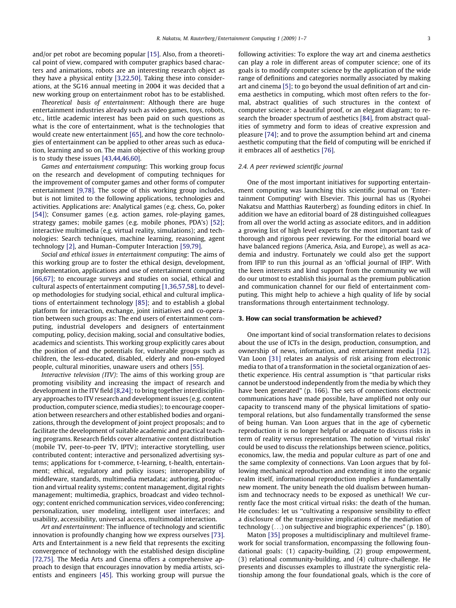and/or pet robot are becoming popular [\[15\]](#page-5-0). Also, from a theoretical point of view, compared with computer graphics based characters and animations, robots are an interesting research object as they have a physical entity [\[3,22,50\].](#page-5-0) Taking these into considerations, at the SG16 annual meeting in 2004 it was decided that a new working group on entertainment robot has to be established.

Theoretical basis of entertainment: Although there are huge entertainment industries already such as video games, toys, robots, etc., little academic interest has been paid on such questions as what is the core of entertainment, what is the technologies that would create new entertainment [\[65\],](#page-6-0) and how the core technologies of entertainment can be applied to other areas such as education, learning and so on. The main objective of this working group is to study these issues [\[43,44,46,60\]](#page-5-0).

Games and entertainment computing: This working group focus on the research and development of computing techniques for the improvement of computer games and other forms of computer entertainment [\[9,78\].](#page-5-0) The scope of this working group includes, but is not limited to the following applications, technologies and activities. Applications are: Analytical games (e.g. chess, Go, poker [\[54\]\)](#page-5-0); Consumer games (e.g. action games, role-playing games, strategy games; mobile games (e.g. mobile phones, PDA's) [\[52\];](#page-5-0) interactive multimedia (e.g. virtual reality, simulations); and technologies: Search techniques, machine learning, reasoning, agent technology [\[2\],](#page-5-0) and Human–Computer Interaction [\[59,79\]](#page-5-0).

Social and ethical issues in entertainment computing: The aims of this working group are to foster the ethical design, development, implementation, applications and use of entertainment computing [\[66,67\]](#page-6-0); to encourage surveys and studies on social, ethical and cultural aspects of entertainment computing [\[1,36,57,58\],](#page-5-0) to develop methodologies for studying social, ethical and cultural implications of entertainment technology [\[85\];](#page-6-0) and to establish a global platform for interaction, exchange, joint initiatives and co-operation between such groups as: The end users of entertainment computing, industrial developers and designers of entertainment computing, policy, decision making, social and consultative bodies, academics and scientists. This working group explicitly cares about the position of and the potentials for, vulnerable groups such as children, the less-educated, disabled, elderly and non-employed people, cultural minorities, unaware users and others [\[55\]](#page-5-0).

Interactive television (ITV): The aims of this working group are promoting visibility and increasing the impact of research and development in the ITV field [\[8,24\]](#page-5-0); to bring together interdisciplinary approaches to ITV research and development issues (e.g. content production, computer science, media studies); to encourage cooperation between researchers and other established bodies and organizations, through the development of joint project proposals; and to facilitate the development of suitable academic and practical teaching programs. Research fields cover alternative content distribution (mobile TV, peer-to-peer TV, IPTV); interactive storytelling, user contributed content; interactive and personalized advertising systems; applications for t-commerce, t-learning, t-health, entertainment; ethical, regulatory and policy issues; interoperability of middleware, standards, multimedia metadata; authoring, production and virtual reality systems; content management, digital rights management; multimedia, graphics, broadcast and video technology; content enriched communication services, video conferencing; personalization, user modeling, intelligent user interfaces; and usability, accessibility, universal access, multimodal interaction.

Art and entertainment: The influence of technology and scientific innovation is profoundly changing how we express ourselves [\[73\].](#page-6-0) Arts and Entertainment is a new field that represents the exciting convergence of technology with the established design discipline [\[72,75\]](#page-6-0). The Media Arts and Cinema offers a comprehensive approach to design that encourages innovation by media artists, scientists and engineers [\[45\].](#page-5-0) This working group will pursue the following activities: To explore the way art and cinema aesthetics can play a role in different areas of computer science; one of its goals is to modify computer science by the application of the wide range of definitions and categories normally associated by making art and cinema [\[5\]](#page-5-0); to go beyond the usual definition of art and cinema aesthetics in computing, which most often refers to the formal, abstract qualities of such structures in the context of computer science: a beautiful proof, or an elegant diagram; to research the broader spectrum of aesthetics [\[84\]](#page-6-0), from abstract qualities of symmetry and form to ideas of creative expression and pleasure [\[74\]](#page-6-0); and to prove the assumption behind art and cinema aesthetic computing that the field of computing will be enriched if it embraces all of aesthetics [\[76\].](#page-6-0)

#### 2.4. A peer reviewed scientific journal

One of the most important initiatives for supporting entertainment computing was launching this scientific journal on 'Entertainment Computing' with Elsevier. This journal has us (Ryohei Nakatsu and Matthias Rauterberg) as founding editors in chief. In addition we have an editorial board of 28 distinguished colleagues from all over the world acting as associate editors, and in addition a growing list of high level experts for the most important task of thorough and rigorous peer reviewing. For the editorial board we have balanced regions (America, Asia, and Europe), as well as academia and industry. Fortunately we could also get the support from IFIP to run this journal as an 'official journal of IFIP'. With the keen interests and kind support from the community we will do our utmost to establish this journal as the premium publication and communication channel for our field of entertainment computing. This might help to achieve a high quality of life by social transformations through entertainment technology.

#### 3. How can social transformation be achieved?

One important kind of social transformation relates to decisions about the use of ICTs in the design, production, consumption, and ownership of news, information, and entertainment media [\[12\].](#page-5-0) Van Loon [\[31\]](#page-5-0) relates an analysis of risk arising from electronic media to that of a transformation in the societal organization of aesthetic experience. His central assumption is ''that particular risks cannot be understood independently from the media by which they have been generated" (p. 166). The sets of connections electronic communications have made possible, have amplified not only our capacity to transcend many of the physical limitations of spatiotemporal relations, but also fundamentally transformed the sense of being human. Van Loon argues that in the age of cybernetic reproduction it is no longer helpful or adequate to discuss risks in term of reality versus representation. The notion of 'virtual risks' could be used to discuss the relationships between science, politics, economics, law, the media and popular culture as part of one and the same complexity of connections. Van Loon argues that by following mechanical reproduction and extending it into the organic realm itself, informational reproduction implies a fundamentally new moment. The unity beneath the old dualism between humanism and technocracy needs to be exposed as unethical! We currently face the most critical virtual risks: the death of the human. He concludes: let us ''cultivating a responsive sensibility to effect a disclosure of the transgressive implications of the mediation of technology (...) on subjective and biographic experiences" (p. 180).

Maton [\[35\]](#page-5-0) proposes a multidisciplinary and multilevel framework for social transformation, encompassing the following foundational goals: (1) capacity-building, (2) group empowerment, (3) relational community-building, and (4) culture-challenge. He presents and discusses examples to illustrate the synergistic relationship among the four foundational goals, which is the core of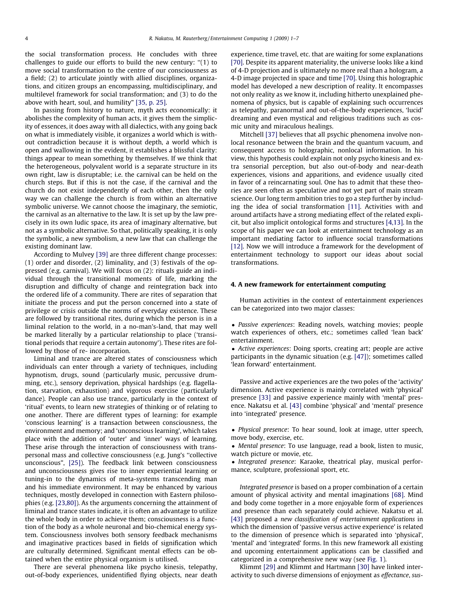the social transformation process. He concludes with three challenges to guide our efforts to build the new century: ''(1) to move social transformation to the centre of our consciousness as a field; (2) to articulate jointly with allied disciplines, organizations, and citizen groups an encompassing, multidisciplinary, and multilevel framework for social transformation; and (3) to do the above with heart, soul, and humility" [\[35, p. 25\].](#page-5-0)

In passing from history to nature, myth acts economically: it abolishes the complexity of human acts, it gives them the simplicity of essences, it does away with all dialectics, with any going back on what is immediately visible, it organizes a world which is without contradiction because it is without depth, a world which is open and wallowing in the evident, it establishes a blissful clarity: things appear to mean something by themselves. If we think that the heterogeneous, polyvalent world is a separate structure in its own right, law is disruptable; i.e. the carnival can be held on the church steps. But if this is not the case, if the carnival and the church do not exist independently of each other, then the only way we can challenge the church is from within an alternative symbolic universe. We cannot choose the imaginary, the semiotic, the carnival as an alternative to the law. It is set up by the law precisely in its own ludic space, its area of imaginary alternative, but not as a symbolic alternative. So that, politically speaking, it is only the symbolic, a new symbolism, a new law that can challenge the existing dominant law.

According to Mulvey [\[39\]](#page-5-0) are three different change processes: (1) order and disorder, (2) liminality, and (3) festivals of the oppressed (e.g. carnival). We will focus on (2): rituals guide an individual through the transitional moments of life, marking the disruption and difficulty of change and reintegration back into the ordered life of a community. There are rites of separation that initiate the process and put the person concerned into a state of privilege or crisis outside the norms of everyday existence. These are followed by transitional rites, during which the person is in a liminal relation to the world, in a no-man's-land, that may well be marked literally by a particular relationship to place ('transitional periods that require a certain autonomy'). These rites are followed by those of re- incorporation.

Liminal and trance are altered states of consciousness which individuals can enter through a variety of techniques, including hypnotism, drugs, sound (particularly music, percussive drumming, etc.), sensory deprivation, physical hardships (e.g. flagellation, starvation, exhaustion) and vigorous exercise (particularly dance). People can also use trance, particularly in the context of 'ritual' events, to learn new strategies of thinking or of relating to one another. There are different types of learning: for example 'conscious learning' is a transaction between consciousness, the environment and memory; and 'unconscious learning', which takes place with the addition of 'outer' and 'inner' ways of learning. These arise through the interaction of consciousness with transpersonal mass and collective consciousness (e.g. Jung's ''collective unconscious", [\[25\]](#page-5-0)). The feedback link between consciousness and unconsciousness gives rise to inner experiential learning or tuning-in to the dynamics of meta-systems transcending man and his immediate environment. It may be enhanced by various techniques, mostly developed in connection with Eastern philosophies (e.g. [\[23,80\]](#page-5-0)). As the arguments concerning the attainment of liminal and trance states indicate, it is often an advantage to utilize the whole body in order to achieve them; consciousness is a function of the body as a whole neuronal and bio-chemical energy system. Consciousness involves both sensory feedback mechanisms and imaginative practices based in fields of signification which are culturally determined. Significant mental effects can be obtained when the entire physical organism is utilised.

There are several phenomena like psycho kinesis, telepathy, out-of-body experiences, unidentified flying objects, near death experience, time travel, etc. that are waiting for some explanations [\[70\]](#page-6-0). Despite its apparent materiality, the universe looks like a kind of 4-D projection and is ultimately no more real than a hologram, a 4-D image projected in space and time [\[70\]](#page-6-0). Using this holographic model has developed a new description of reality. It encompasses not only reality as we know it, including hitherto unexplained phenomena of physics, but is capable of explaining such occurrences as telepathy, paranormal and out-of-the-body experiences, 'lucid' dreaming and even mystical and religious traditions such as cosmic unity and miraculous healings.

Mitchell [\[37\]](#page-5-0) believes that all psychic phenomena involve nonlocal resonance between the brain and the quantum vacuum, and consequent access to holographic, nonlocal information. In his view, this hypothesis could explain not only psycho kinesis and extra sensorial perception, but also out-of-body and near-death experiences, visions and apparitions, and evidence usually cited in favor of a reincarnating soul. One has to admit that these theories are seen often as speculative and not yet part of main stream science. Our long term ambition tries to go a step further by including the idea of social transformation [\[11\]](#page-5-0). Activities with and around artifacts have a strong mediating effect of the related explicit, but also implicit ontological forms and structures [\[4,13\]](#page-5-0). In the scope of his paper we can look at entertainment technology as an important mediating factor to influence social transformations [\[12\]](#page-5-0). Now we will introduce a framework for the development of entertainment technology to support our ideas about social transformations.

# 4. A new framework for entertainment computing

Human activities in the context of entertainment experiences can be categorized into two major classes:

• Passive experiences: Reading novels, watching movies; people watch experiences of others, etc.; sometimes called 'lean back' entertainment.

• Active experiences: Doing sports, creating art; people are active participants in the dynamic situation (e.g. [\[47\]\)](#page-5-0); sometimes called 'lean forward' entertainment.

Passive and active experiences are the two poles of the 'activity' dimension. Active experience is mainly correlated with 'physical' presence [\[33\]](#page-5-0) and passive experience mainly with 'mental' presence. Nakatsu et al. [\[43\]](#page-5-0) combine 'physical' and 'mental' presence into 'integrated' presence.

- Physical presence: To hear sound, look at image, utter speech, move body, exercise, etc.

• *Mental presence*: To use language, read a book, listen to music, watch picture or movie, etc.

• Integrated presence: Karaoke, theatrical play, musical performance, sculpture, professional sport, etc.

Integrated presence is based on a proper combination of a certain amount of physical activity and mental imaginations [\[68\]](#page-6-0). Mind and body come together in a more enjoyable form of experiences and presence than each separately could achieve. Nakatsu et al. [\[43\]](#page-5-0) proposed a new classification of entertainment applications in which the dimension of 'passive versus active experience' is related to the dimension of presence which is separated into 'physical', 'mental' and 'integrated' forms. In this new framework all existing and upcoming entertainment applications can be classified and categorized in a comprehensive new way (see [Fig. 1](#page-4-0)).

Klimmt [\[29\]](#page-5-0) and Klimmt and Hartmann [\[30\]](#page-5-0) have linked interactivity to such diverse dimensions of enjoyment as effectance, sus-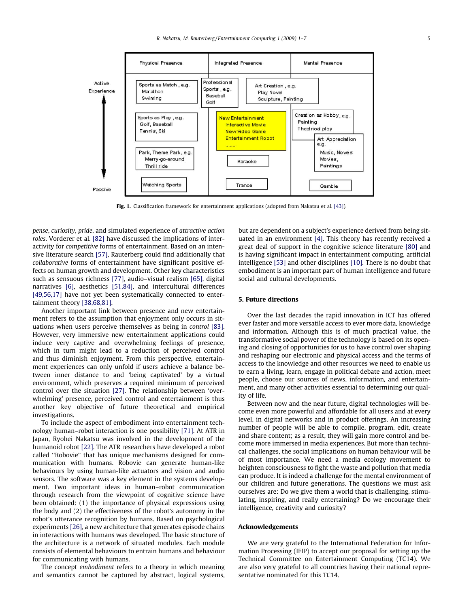<span id="page-4-0"></span>

Fig. 1. Classification framework for entertainment applications (adopted from Nakatsu et al. [\[43\]\)](#page-5-0).

pense, curiosity, pride, and simulated experience of attractive action roles. Vorderer et al. [\[82\]](#page-6-0) have discussed the implications of interactivity for competitive forms of entertainment. Based on an intensive literature search [\[57\],](#page-5-0) Rauterberg could find additionally that collaborative forms of entertainment have significant positive effects on human growth and development. Other key characteristics such as sensuous richness [\[77\],](#page-6-0) audio–visual realism [\[65\],](#page-6-0) digital narratives [\[6\]](#page-5-0), aesthetics [\[51,84\]](#page-5-0), and intercultural differences [\[49,56,17\]](#page-5-0) have not yet been systematically connected to entertainment theory [\[38,68,81\]](#page-5-0).

Another important link between presence and new entertainment refers to the assumption that enjoyment only occurs in situations when users perceive themselves as being in control [\[83\].](#page-6-0) However, very immersive new entertainment applications could induce very captive and overwhelming feelings of presence, which in turn might lead to a reduction of perceived control and thus diminish enjoyment. From this perspective, entertainment experiences can only unfold if users achieve a balance between inner distance to and 'being captivated' by a virtual environment, which preserves a required minimum of perceived control over the situation [\[27\].](#page-5-0) The relationship between 'overwhelming' presence, perceived control and entertainment is thus another key objective of future theoretical and empirical investigations.

To include the aspect of embodiment into entertainment technology human–robot interaction is one possibility [\[71\]](#page-6-0). At ATR in Japan, Ryohei Nakatsu was involved in the development of the humanoid robot [\[22\].](#page-5-0) The ATR researchers have developed a robot called ''Robovie" that has unique mechanisms designed for communication with humans. Robovie can generate human-like behaviours by using human-like actuators and vision and audio sensors. The software was a key element in the systems development. Two important ideas in human–robot communication through research from the viewpoint of cognitive science have been obtained: (1) the importance of physical expressions using the body and (2) the effectiveness of the robot's autonomy in the robot's utterance recognition by humans. Based on psychological experiments [\[26\]](#page-5-0), a new architecture that generates episode chains in interactions with humans was developed. The basic structure of the architecture is a network of situated modules. Each module consists of elemental behaviours to entrain humans and behaviour for communicating with humans.

The concept embodiment refers to a theory in which meaning and semantics cannot be captured by abstract, logical systems, but are dependent on a subject's experience derived from being situated in an environment [\[4\].](#page-5-0) This theory has recently received a great deal of support in the cognitive science literature [\[80\]](#page-6-0) and is having significant impact in entertainment computing, artificial intelligence [\[53\]](#page-5-0) and other disciplines [\[10\]](#page-5-0). There is no doubt that embodiment is an important part of human intelligence and future social and cultural developments.

#### 5. Future directions

Over the last decades the rapid innovation in ICT has offered ever faster and more versatile access to ever more data, knowledge and information. Although this is of much practical value, the transformative social power of the technology is based on its opening and closing of opportunities for us to have control over shaping and reshaping our electronic and physical access and the terms of access to the knowledge and other resources we need to enable us to earn a living, learn, engage in political debate and action, meet people, choose our sources of news, information, and entertainment, and many other activities essential to determining our quality of life.

Between now and the near future, digital technologies will become even more powerful and affordable for all users and at every level, in digital networks and in product offerings. An increasing number of people will be able to compile, program, edit, create and share content; as a result, they will gain more control and become more immersed in media experiences. But more than technical challenges, the social implications on human behaviour will be of most importance. We need a media ecology movement to heighten consciousness to fight the waste and pollution that media can produce. It is indeed a challenge for the mental environment of our children and future generations. The questions we must ask ourselves are: Do we give them a world that is challenging, stimulating, inspiring, and really entertaining? Do we encourage their intelligence, creativity and curiosity?

### Acknowledgements

We are very grateful to the International Federation for Information Processing (IFIP) to accept our proposal for setting up the Technical Committee on Entertainment Computing (TC14). We are also very grateful to all countries having their national representative nominated for this TC14.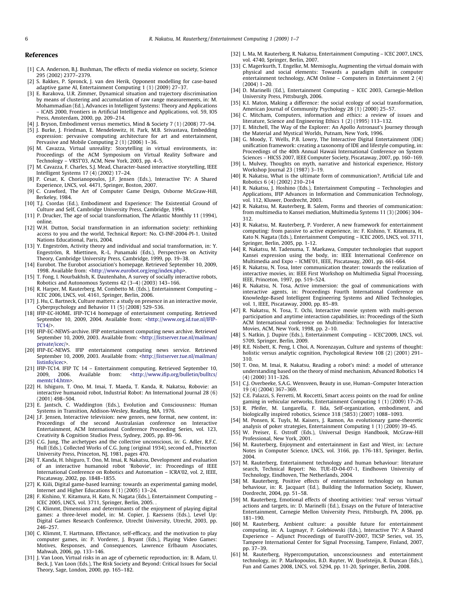# <span id="page-5-0"></span>References

- [1] C.A. Anderson, B.J. Bushman, The effects of media violence on society, Science 295 (2002) 2377–2379.
- [2] S. Bakkes, P. Spronck, J. van den Herik, Opponent modelling for case-based adaptive game AI, Entertainment Computing 1 (1) (2009) 27–37.
- [3] E. Barakova, U.R. Zimmer, Dynamical situation and trajectory discrimination by means of clustering and accumulation of raw range measurements, in: M. Mohammadian (Ed.), Advances in Intelligent Systems: Theory and Applications – ICAIS 2000, Frontiers in Artificial Intelligence and Applications, vol. 59, IOS Press, Amsterdam, 2000, pp. 209–214.
- [4] J. Bryson, Embodiment versus memetics, Mind & Society 7 (1) (2008) 77–94.
- [5] J. Burke, J. Friedman, E. Mendelowitz, H. Park, M.B. Srivastava, Embedding expression: pervasive computing architecture for art and entertainment, Pervasive and Mobile Computing 2 (1) (2006) 1–36.
- [6] M. Cavazza, Virtual unreality: Storytelling in virtual environments, in: Proceedings of the ACM Symposium on Virtual Reality Software and Technology – VRST'03, ACM, New York, 2003, pp. 4–5.
- [7] M. Cavazza, F. Charles, S.J. Mead, Character-based interactive storytelling, IEEE Intelligent Systems 17 (4) (2002) 17–24.
- [8] P. Cesar, K. Chorianopoulos, J.F. Jensen (Eds.), Interactive TV: A Shared Experience, LNCS, vol. 4471, Springer, Boston, 2007.
- [9] C. Crawford, The Art of Computer Game Design, Osborne McGraw-Hill, Berkeley, 1984.
- [10] T.J. Csordas (Ed.), Embodiment and Experience: The Existential Ground of Culture and Self, Cambridge University Press, Cambridge, 1994.
- [11] P. Drucker, The age of social transformation, The Atlantic Monthly 11 (1994), online.
- [12] W.H. Dutton, Social transformation in an information society: rethinking access to you and the world, Technical Report: No. CI-INF-2004-PI-1. United Nations Educational, Paris, 2004.
- [13] Y. Engeström, Activity theory and individual and social transformation, in: Y. Engeström, R. Miettinen, R.-L. Punamaki (Eds.), Perspectives on Activity Theory, Cambridge University Press, Cambridge, 1999, pp. 19–38.
- [14] Eurobot. The Eurobot association's homepage. Retrieved September 10, 2009, 1998. Available from: <[http://www.eurobot.org/eng/index.php>](http://www.eurobot.org/eng/index.php).
- [15] T. Fong, I. Nourbakhsh, K. Dautenhahn, A survey of socially interactive robots, Robotics and Autonomous Systems 42 (3–4) (2003) 143–166.
- [16] R. Harper, M. Rauterberg, M. Combetto M. (Eds.), Entertainment Computing ICEC 2006, LNCS, vol. 4161, Springer, Berlin, 2006.
- [17] J. Hu, C. Bartneck, Culture matters: a study on presence in an interactive movie, Cyberpsychology and Behavior 11 (5) (2008) 529–536.
- [18] IFIP-EC-HOME. IFIP-TC14 homepage of entertainment computing. Retrieved September 10, 2009, 2004. Available from: [<http://www.org.id.tue.nl/IFIP-](http://www.org.id.tue.nl/IFIP-TC14)[TC14](http://www.org.id.tue.nl/IFIP-TC14)/>.
- [19] IFIP-EC-NEWS-archive. IFIP entertainment computing news archive. Retrieved September 10, 2009, 2003. Available from: <[http://listserver.tue.nl/mailman/](http://listserver.tue.nl/mailman/private/icec/) [private/icec/>](http://listserver.tue.nl/mailman/private/icec/).
- [20] IFIP-EC-NEWS. IFIP entertainment computing news service. Retrieved September 10, 2009, 2003. Available from: <[http://listserver.tue.nl/mailman/](http://listserver.tue.nl/mailman/listinfo/icec) [listinfo/icec](http://listserver.tue.nl/mailman/listinfo/icec)>.
- [21] IFIP-TC14. IFIP TC 14 Entertainment computing. Retrieved September 10, 2009, 2006. Available from: <[http://www.ifip.org/bulletin/bulltcs/](http://www.ifip.org/bulletin/bulltcs/memtc14.htm) [memtc14.htm](http://www.ifip.org/bulletin/bulltcs/memtc14.htm)>.
- [22] H. Ishiguro, T. Ono, M. Imai, T. Maeda, T. Kanda, R. Nakatsu, Robovie: an interactive humanoid robot, Industrial Robot: An International Journal 28 (6) (2001) 498–504.
- [23] E. Jantsch, C. Waddington (Eds.), Evolution and Consciousness: Human Systems in Transition, Addison-Wesley, Reading, MA, 1976.
- [24] J.F. Jensen, Interactive television: new genres, new format, new content, in: Proceedings of the second Australasian conference on Interactive Entertainment, ACM International Conference Proceeding Series, vol. 123, Creativity & Cognition Studios Press, Sydney, 2005, pp. 89–96.
- [25] C.G. Jung, The archetypes and the collective unconscious, in: G. Adler, R.F.C. Hull (Eds.). Collected Works of C.G. Jung (original 1934), second ed., Princeton University Press, Princeton, NJ, 1981, pages 470.
- [26] T. Kanda, H. Ishiguro, T. Ono, M. Imai, R. Nakatsu, Development and evaluation of an interactive humanoid robot 'Robovie', in: Proceedings of IEEE International Conference on Robotics and Automation – ICRA'02, vol. 2, IEEE, Piscataway, 2002, pp. 1848–1855.
- [27] K. Kiili, Digital game-based learning: towards an experimental gaming model, Internet and Higher Educations 8 (1) (2005) 13–24.
- [28] F. Kishino, Y. Kitamura, H. Kato, N. Nagata (Eds.), Entertainment Computing ICEC 2005, LNCS, vol. 3711, Springer, Berlin, 2005. .
- [29] C. Klimmt, Dimensions and determinants of the enjoyment of playing digital games: a three-level model, in: M. Copier, J. Raessens (Eds.), Level Up: Digital Games Research Conference, Utrecht University, Utrecht, 2003, pp. 246–257.
- [30] C. Klimmt, T. Hartmann, Effectance, self-efficacy, and the motivation to play computer games, in: P. Vorderer, J. Bryant (Eds.), Playing Video Games: Motives, Responses, and Consequences, Lawrence Erlbaum Associates, Mahwah, 2006, pp. 133–146.
- [31] J. Van Loon, Virtual risks in an age of cybernetic reproduction, in: B. Adam, U. Beck, J. Van Loon (Eds.), The Risk Society and Beyond: Critical Issues for Social Theory, Sage, London, 2000, pp. 165–182.
- [32] L. Ma, M. Rauterberg, R. Nakatsu, Entertainment Computing ICEC 2007, LNCS, vol. 4740, Springer, Berlin, 2007.
- [33] C. Magerkurth, T. Engelke, M. Memisoglu, Augmenting the virtual domain with physical and social elements: Towards a paradigm shift in computer entertainment technology, ACM Online - Computers in Entertainment 2 (4) (2004) 1–20.
- [34] D. Marinelli (Ed.), Entertainment Computing ICEC 2003, Carnegie-Mellon University Press, Pittsburgh, 2006.
- [35] K.I. Maton, Making a difference: the social ecology of social transformation, American Journal of Community Psychology 28 (1) (2000) 25–57.
- [36] C. Mitcham, Computers, information and ethics: a review of issues and literature, Science and Engineering Ethics 1 (2) (1995) 113–132.
- [37] E. Mitchell, The Way of the Explorer: An Apollo Astronaut's Journey through the Material and Mystical Worlds, Putnam, New York, 1996.
- [38] G. Moody, T. Wells, P.B. Lowry, The Interactive Digital Entertainment (IDE) unification framework: creating a taxonomy of IDE and lifestyle computing, in: Proceedings of the 40th Annual Hawaii International Conference on System Sciences – HICSS 2007, IEEE Computer Society, Piscataway, 2007, pp. 160–169.
- [39] L. Mulvey, Thoughts on myth, narrative and historical experience, History Workshop Journal 23 (1987) 3–19.
- [40] R. Nakatsu, What is the ultimate form of communication?, Artificial Life and Robotics 6 (4) (2002) 210–214
- [41] R. Nakatsu, J. Hoshino (Eds.), Entertainment Computing Technologies and Applications, IFIP Advances in Information and Communication Technology, vol. 112, Kluwer, Dordrecht, 2003.
- [42] R. Nakatsu, M. Rauterberg, B. Salem, Forms and theories of communication: from multimedia to Kansei mediation, Multimedia Systems 11 (3) (2006) 304– 312.
- [43] R. Nakatsu, M. Rauterberg, P. Vorderer, A new framework for entertainment computing: from passive to active experience, in: F. Kishino, Y. Kitamura, H. Kato N. Nagata (Eds.), Entertainment Computing – ICEC 2005, LNCS, vol. 3711, Springer, Berlin, 2005, pp. 1-12.
- [44] R. Nakatsu, M. Tadenuma, T. Maekawa, Computer technologies that support Kansei expression using the body, in: IEEE International Conference on Multimedia and Expo – ICME'01, IEEE, Piscataway, 2001, pp. 661-664.
- [45] R. Nakatsu, N. Tosa, Inter communication theater: towards the realization of interactive movies, in: IEEE First Workshop on Multimedia Signal Processing, IEEE, Princeton, 1997, pp. 519–524.
- [46] R. Nakatsu, N. Tosa, Active immersion: the goal of communications with interactive agents, in: Proceedings Fourth International Conference on Knowledge-Based Intelligent Engineering Systems and Allied Technologies, vol. 1, IEEE, Piscataway, 2000, pp. 85–89.
- [47] R. Nakatsu, N. Tosa, T. Ochi, Interactive movie system with multi-person participation and anytime interaction capabilities, in: Proceedings of the Sixth ACM International conference on Multimedia: Technologies for Interactive Movies, ACM, New York, 1998, pp. 2–10.
- [48] S. Natkin, J. Dupire (Eds.), Entertainment Computing ICEC'2009, LNCS, vol. 5709, Springer, Berlin, 2009.
- [49] R.E. Nisbett, K. Peng, I. Choi, A. Norenzayan, Culture and systems of thought: holistic versus analytic cognition, Psychological Review 108 (2) (2001) 291– 310.
- [50] T. Ono, M. Imai, R. Nakatsu, Reading a robot's mind: a model of utterance understanding based on the theory of mind mechanism, Advanced Robotics 14 (4) (2000) 311–326.
- [51] C.J. Overbeeke, S.A.G. Wensveen, Beauty in use, Human–Computer Interaction 19 (4) (2004) 367–369.
- [52] C.E. Palazzi, S. Ferretti, M. Roccetti, Smart access points on the road for online gaming in vehicular networks, Entertainment Computing 1 (1) (2009) 17–26. [53] R. Pfeifer, M. Lungarella, F. Iida, Self-organization, embodiment, and
- biologically inspired robotics, Science 318 (5853) (2007) 1088–1093.
- [54] M. Ponsen, K. Tuyls, M. Kaisers, J. Ramon, An evolutionary game-theoretic analysis of poker strategies, Entertainment Computing 1 (1) (2009) 39–45.
- [55] W. Preiser, E. Ostroff (Eds.), Universal Design Handbook, McGraw-Hill Professional, New York, 2001.
- [56] M. Rauterberg, Enjoyment and entertainment in East and West, in: Lecture Notes in Computer Science, LNCS, vol. 3166, pp. 176-181, Springer, Berlin, 2004.
- [57] M. Rauterberg, Entertainment technology and human behaviour: literature search, Technical Report: No. TUE-ID-04-07-1, Eindhoven University of Technology, Eindhoven, The Netherlands, 2004.
- [58] M. Rauterberg, Positive effects of entertainment technology on human behaviour, in: R. Jacquart (Ed.), Building the Information Society, Kluwer, Dordrecht, 2004, pp. 51–58.
- [59] M. Rauterberg, Emotional effects of shooting activities: 'real' versus 'virtual' actions and targets, in: D. Marinelli (Ed.), Essays on the Future of Interactive Entertainment, Carnegie Mellon University Press, Pittsburgh, PA, 2006, pp. 181–190.
- [60] M. Rauterberg, Ambient culture: a possible future for entertainment computing, in: A. Lugmayr, P. Golebiowski (Eds.), Interactive TV: A Shared Experience – Adjunct Proceedings of EuroITV-2007, TICSP Series, vol. 35, Tampere International Center for Signal Processing, Tampere, Finland, 2007, pp. 37–39.
- [61] M. Rauterberg, Hypercomputation, unconsciousness and entertainment technology, in: P. Markopoulos, B.D. Ruyter, W. IJsselsteijn, R. Duncan (Eds.), Fun and Games 2008, LNCS, vol. 5294, pp. 11-20, Springer, Berlin, 2008.